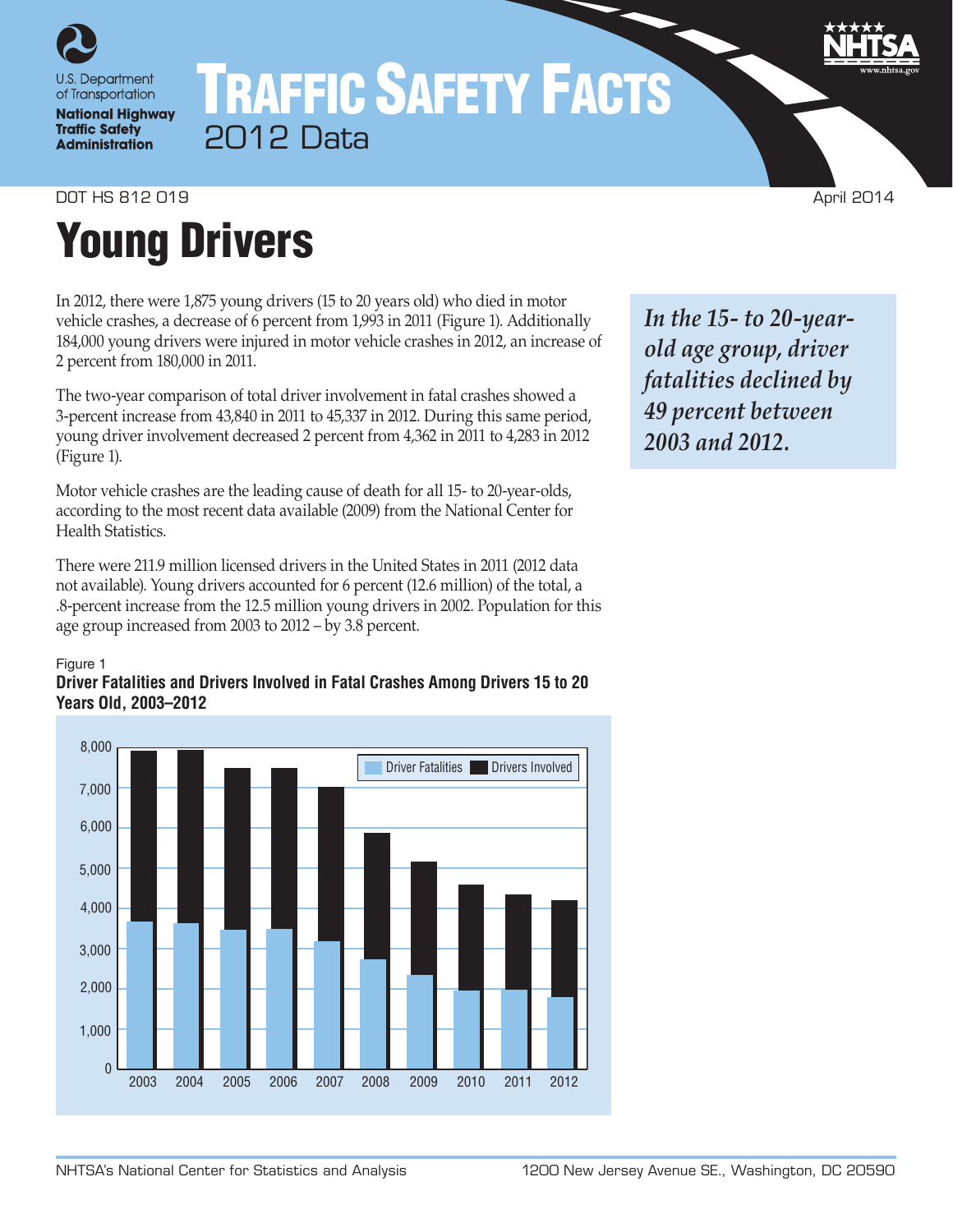

## TRAFFIC SAFETY FACTS 2012 Data

DOT HS 812 019 April 2014

# Young Drivers

In 2012, there were 1,875 young drivers (15 to 20 years old) who died in motor vehicle crashes, a decrease of 6 percent from 1,993 in 2011 (Figure 1). Additionally 184,000 young drivers were injured in motor vehicle crashes in 2012, an increase of 2 percent from 180,000 in 2011.

The two-year comparison of total driver involvement in fatal crashes showed a 3-percent increase from 43,840 in 2011 to 45,337 in 2012. During this same period, young driver involvement decreased 2 percent from 4,362 in 2011 to 4,283 in 2012 (Figure 1).

Motor vehicle crashes are the leading cause of death for all 15- to 20-year-olds, according to the most recent data available (2009) from the National Center for Health Statistics.

There were 211.9 million licensed drivers in the United States in 2011 (2012 data not available). Young drivers accounted for 6 percent (12.6 million) of the total, a .8-percent increase from the 12.5 million young drivers in 2002. Population for this age group increased from 2003 to 2012 – by 3.8 percent.

## Figure 1

## **Driver Fatalities and Drivers Involved in Fatal Crashes Among Drivers 15 to 20 Years Old, 2003–2012**



*In the 15- to 20-yearold age group, driver fatalities declined by 49 percent between 2003 and 2012.*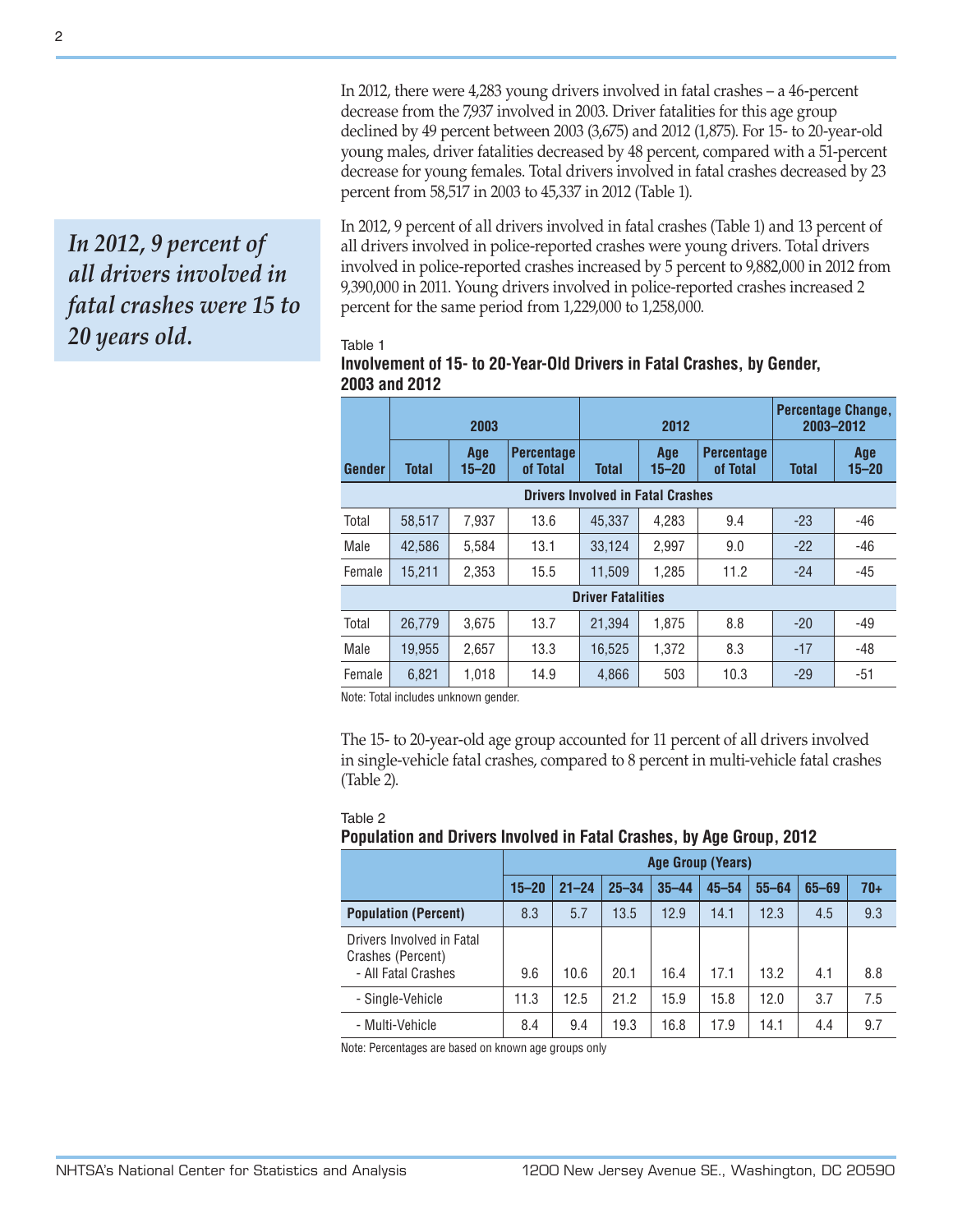In 2012, there were 4,283 young drivers involved in fatal crashes – a 46-percent decrease from the 7,937 involved in 2003. Driver fatalities for this age group declined by 49 percent between 2003 (3,675) and 2012 (1,875). For 15- to 20-year-old young males, driver fatalities decreased by 48 percent, compared with a 51-percent decrease for young females. Total drivers involved in fatal crashes decreased by 23 percent from 58,517 in 2003 to 45,337 in 2012 (Table 1).

In 2012, 9 percent of all drivers involved in fatal crashes (Table 1) and 13 percent of all drivers involved in police-reported crashes were young drivers. Total drivers involved in police-reported crashes increased by 5 percent to 9,882,000 in 2012 from 9,390,000 in 2011. Young drivers involved in police-reported crashes increased 2 percent for the same period from 1,229,000 to 1,258,000.

## Table 1

| Involvement of 15- to 20-Year-Old Drivers in Fatal Crashes, by Gender, |  |
|------------------------------------------------------------------------|--|
| 2003 and 2012                                                          |  |

|                                          | 2003         |                  |                               | 2012                     |                  |                               | <b>Percentage Change,</b><br>2003-2012 |                  |
|------------------------------------------|--------------|------------------|-------------------------------|--------------------------|------------------|-------------------------------|----------------------------------------|------------------|
| <b>Gender</b>                            | <b>Total</b> | Age<br>$15 - 20$ | <b>Percentage</b><br>of Total | <b>Total</b>             | Age<br>$15 - 20$ | <b>Percentage</b><br>of Total | <b>Total</b>                           | Age<br>$15 - 20$ |
| <b>Drivers Involved in Fatal Crashes</b> |              |                  |                               |                          |                  |                               |                                        |                  |
| Total                                    | 58.517       | 7.937            | 13.6                          | 45.337                   | 4.283            | 9.4                           | $-23$                                  | $-46$            |
| Male                                     | 42,586       | 5,584            | 13.1                          | 33,124                   | 2,997            | 9.0                           | $-22$                                  | $-46$            |
| Female                                   | 15,211       | 2,353            | 15.5                          | 11,509                   | 1,285            | 11.2                          | $-24$                                  | $-45$            |
|                                          |              |                  |                               | <b>Driver Fatalities</b> |                  |                               |                                        |                  |
| Total                                    | 26.779       | 3.675            | 13.7                          | 21.394                   | 1.875            | 8.8                           | $-20$                                  | $-49$            |
| Male                                     | 19.955       | 2.657            | 13.3                          | 16.525                   | 1.372            | 8.3                           | $-17$                                  | $-48$            |
| Female                                   | 6,821        | 1,018            | 14.9                          | 4,866                    | 503              | 10.3                          | $-29$                                  | $-51$            |

Note: Total includes unknown gender.

The 15- to 20-year-old age group accounted for 11 percent of all drivers involved in single-vehicle fatal crashes, compared to 8 percent in multi-vehicle fatal crashes (Table 2).

### Table 2

## **Population and Drivers Involved in Fatal Crashes, by Age Group, 2012**

|                                                                       |           | Age Group (Years) |           |           |           |           |           |     |
|-----------------------------------------------------------------------|-----------|-------------------|-----------|-----------|-----------|-----------|-----------|-----|
|                                                                       | $15 - 20$ | $21 - 24$         | $25 - 34$ | $35 - 44$ | $45 - 54$ | $55 - 64$ | $65 - 69$ | 70+ |
| <b>Population (Percent)</b>                                           | 8.3       | 5.7               | 13.5      | 12.9      | 14.1      | 12.3      | 4.5       | 9.3 |
| Drivers Involved in Fatal<br>Crashes (Percent)<br>- All Fatal Crashes | 9.6       | 10.6              | 20.1      | 16.4      | 17.1      | 13.2      | 4.1       | 8.8 |
| - Single-Vehicle                                                      | 11.3      | 12.5              | 21.2      | 15.9      | 15.8      | 12.0      | 3.7       | 7.5 |
| - Multi-Vehicle                                                       | 8.4       | 9.4               | 19.3      | 16.8      | 17.9      | 14.1      | 4.4       | 9.7 |

Note: Percentages are based on known age groups only

*In 2012, 9 percent of all drivers involved in fatal crashes were 15 to 20 years old.*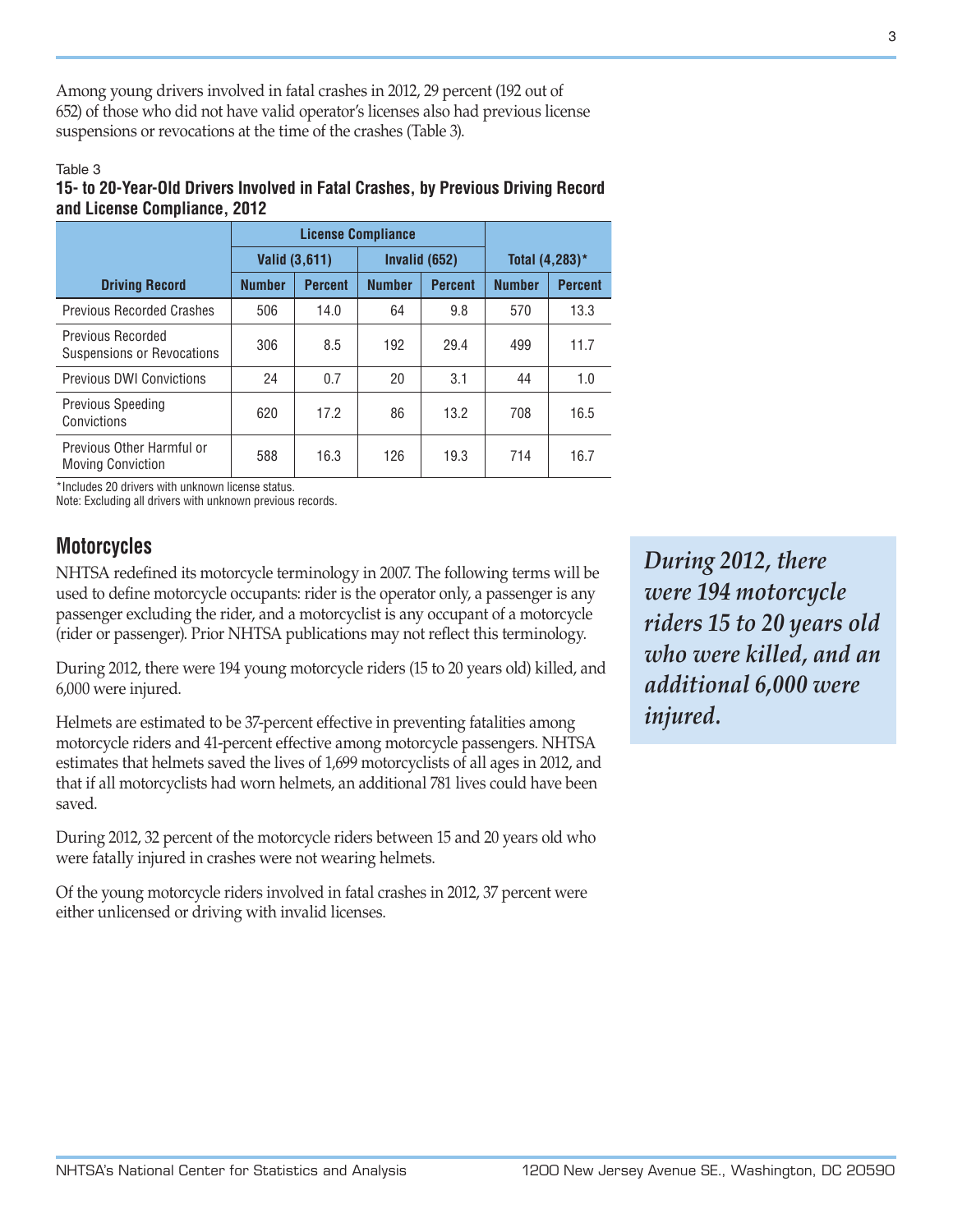Among young drivers involved in fatal crashes in 2012, 29 percent (192 out of 652) of those who did not have valid operator's licenses also had previous license suspensions or revocations at the time of the crashes (Table 3).

## Table 3

## **15- to 20-Year-Old Drivers Involved in Fatal Crashes, by Previous Driving Record and License Compliance, 2012**

|                                                       |               | <b>License Compliance</b> |               |                   |                |                |
|-------------------------------------------------------|---------------|---------------------------|---------------|-------------------|----------------|----------------|
|                                                       |               | Valid (3,611)             |               | Invalid (652)     | Total (4,283)* |                |
| <b>Driving Record</b>                                 | <b>Number</b> | <b>Percent</b>            | <b>Number</b> | <b>Percent</b>    | <b>Number</b>  | <b>Percent</b> |
| <b>Previous Recorded Crashes</b>                      | 506           | 14.0                      | 64            | 9.8               | 570            | 13.3           |
| Previous Recorded<br>Suspensions or Revocations       | 306           | 8.5                       | 192           | 29.4              | 499            | 11.7           |
| <b>Previous DWI Convictions</b>                       | 24            | 0.7                       | 20            | 3.1               | 44             | 1.0            |
| <b>Previous Speeding</b><br>Convictions               | 620           | 17.2                      | 86            | 13.2 <sup>2</sup> | 708            | 16.5           |
| Previous Other Harmful or<br><b>Moving Conviction</b> | 588           | 16.3                      | 126           | 19.3              | 714            | 16.7           |

\*Includes 20 drivers with unknown license status.

Note: Excluding all drivers with unknown previous records.

## **Motorcycles**

NHTSA redefined its motorcycle terminology in 2007. The following terms will be used to define motorcycle occupants: rider is the operator only, a passenger is any passenger excluding the rider, and a motorcyclist is any occupant of a motorcycle (rider or passenger). Prior NHTSA publications may not reflect this terminology.

During 2012, there were 194 young motorcycle riders (15 to 20 years old) killed, and 6,000 were injured.

Helmets are estimated to be 37-percent effective in preventing fatalities among motorcycle riders and 41-percent effective among motorcycle passengers. NHTSA estimates that helmets saved the lives of 1,699 motorcyclists of all ages in 2012, and that if all motorcyclists had worn helmets, an additional 781 lives could have been saved.

During 2012, 32 percent of the motorcycle riders between 15 and 20 years old who were fatally injured in crashes were not wearing helmets.

Of the young motorcycle riders involved in fatal crashes in 2012, 37 percent were either unlicensed or driving with invalid licenses.

*During 2012, there were 194 motorcycle riders 15 to 20 years old who were killed, and an additional 6,000 were injured.*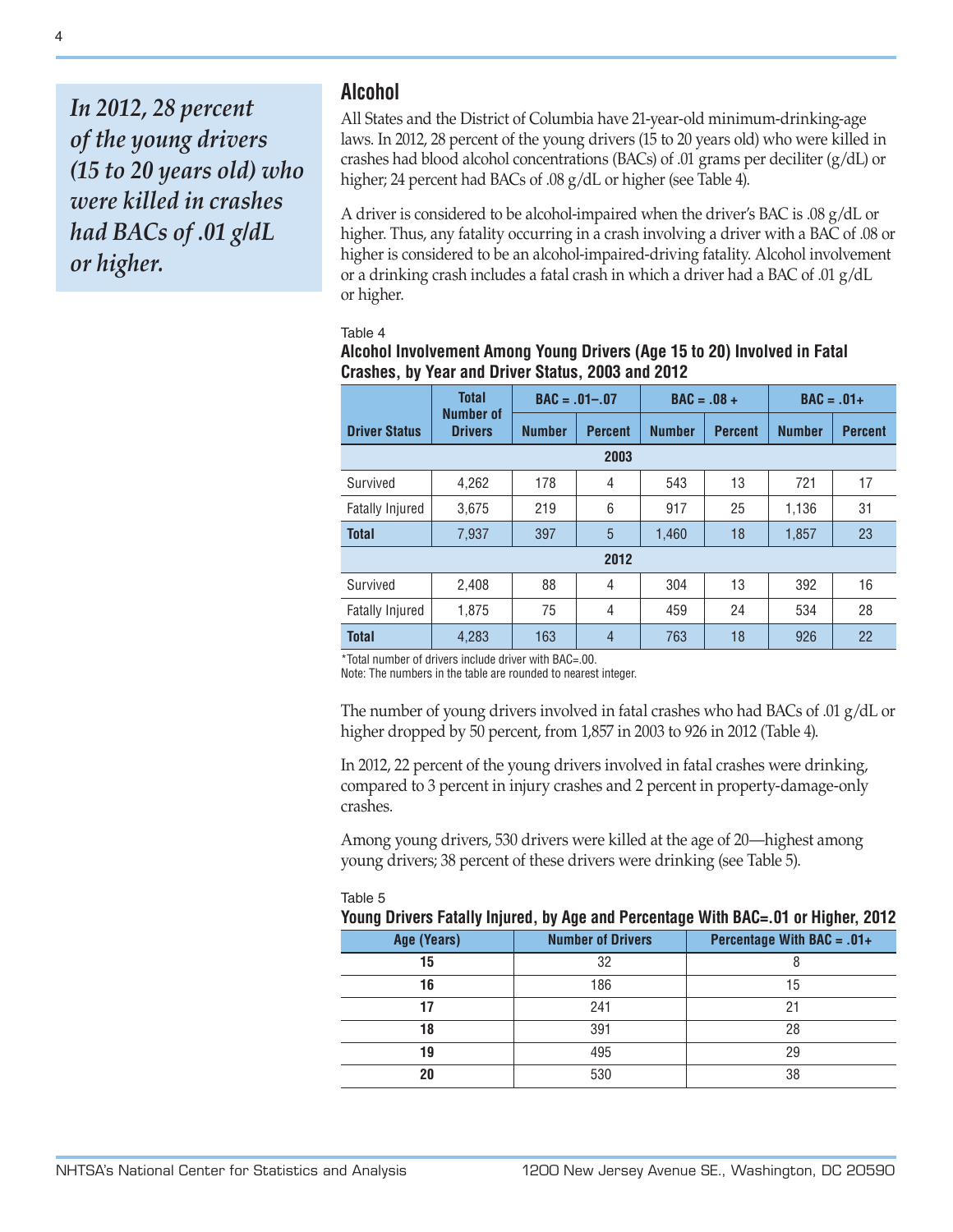*In 2012, 28 percent of the young drivers (15 to 20 years old) who were killed in crashes had BACs of .01 g/dL or higher.*

## **Alcohol**

All States and the District of Columbia have 21-year-old minimum-drinking-age laws. In 2012, 28 percent of the young drivers (15 to 20 years old) who were killed in crashes had blood alcohol concentrations (BACs) of .01 grams per deciliter  $(g/dL)$  or higher; 24 percent had BACs of .08 g/dL or higher (see Table 4).

A driver is considered to be alcohol-impaired when the driver's BAC is .08 g/dL or higher. Thus, any fatality occurring in a crash involving a driver with a BAC of .08 or higher is considered to be an alcohol-impaired-driving fatality. Alcohol involvement or a drinking crash includes a fatal crash in which a driver had a BAC of .01 g/dL or higher.

## Table 4

## **Alcohol Involvement Among Young Drivers (Age 15 to 20) Involved in Fatal Crashes, by Year and Driver Status, 2003 and 2012**

|                        | <b>Total</b><br>$BAC = .01-.07$ |               | $BAC = .08 +$  |               | $BAC = .01+$   |               |                |  |
|------------------------|---------------------------------|---------------|----------------|---------------|----------------|---------------|----------------|--|
| <b>Driver Status</b>   | Number of<br><b>Drivers</b>     | <b>Number</b> | <b>Percent</b> | <b>Number</b> | <b>Percent</b> | <b>Number</b> | <b>Percent</b> |  |
|                        | 2003                            |               |                |               |                |               |                |  |
| Survived               | 4,262                           | 178           | 4              | 543           | 13             | 721           | 17             |  |
| <b>Fatally Injured</b> | 3,675                           | 219           | 6              | 917           | 25             | 1,136         | 31             |  |
| <b>Total</b>           | 7,937                           | 397           | 5              | 1,460         | 18             | 1,857         | 23             |  |
|                        | 2012                            |               |                |               |                |               |                |  |
| Survived               | 2,408                           | 88            | 4              | 304           | 13             | 392           | 16             |  |
| <b>Fatally Injured</b> | 1,875                           | 75            | 4              | 459           | 24             | 534           | 28             |  |
| <b>Total</b>           | 4,283                           | 163           | $\overline{4}$ | 763           | 18             | 926           | 22             |  |

\*Total number of drivers include driver with BAC=.00.

Note: The numbers in the table are rounded to nearest integer.

The number of young drivers involved in fatal crashes who had BACs of .01 g/dL or higher dropped by 50 percent, from 1,857 in 2003 to 926 in 2012 (Table 4).

In 2012, 22 percent of the young drivers involved in fatal crashes were drinking, compared to 3 percent in injury crashes and 2 percent in property-damage-only crashes.

Among young drivers, 530 drivers were killed at the age of 20—highest among young drivers; 38 percent of these drivers were drinking (see Table 5).

### Table 5

| Young Drivers Fatally Injured, by Age and Percentage With BAC=.01 or Higher, 2012 |                          |                              |  |  |  |  |  |
|-----------------------------------------------------------------------------------|--------------------------|------------------------------|--|--|--|--|--|
| Age (Years)                                                                       | <b>Number of Drivers</b> | Percentage With BAC = $.01+$ |  |  |  |  |  |
| 15                                                                                | 32                       |                              |  |  |  |  |  |
| 16                                                                                | 186                      | 15                           |  |  |  |  |  |
|                                                                                   | 241                      | 21                           |  |  |  |  |  |
| 18                                                                                | 391                      | 28                           |  |  |  |  |  |
| 19                                                                                | 495                      | 29                           |  |  |  |  |  |
| 20                                                                                | 530                      | 38                           |  |  |  |  |  |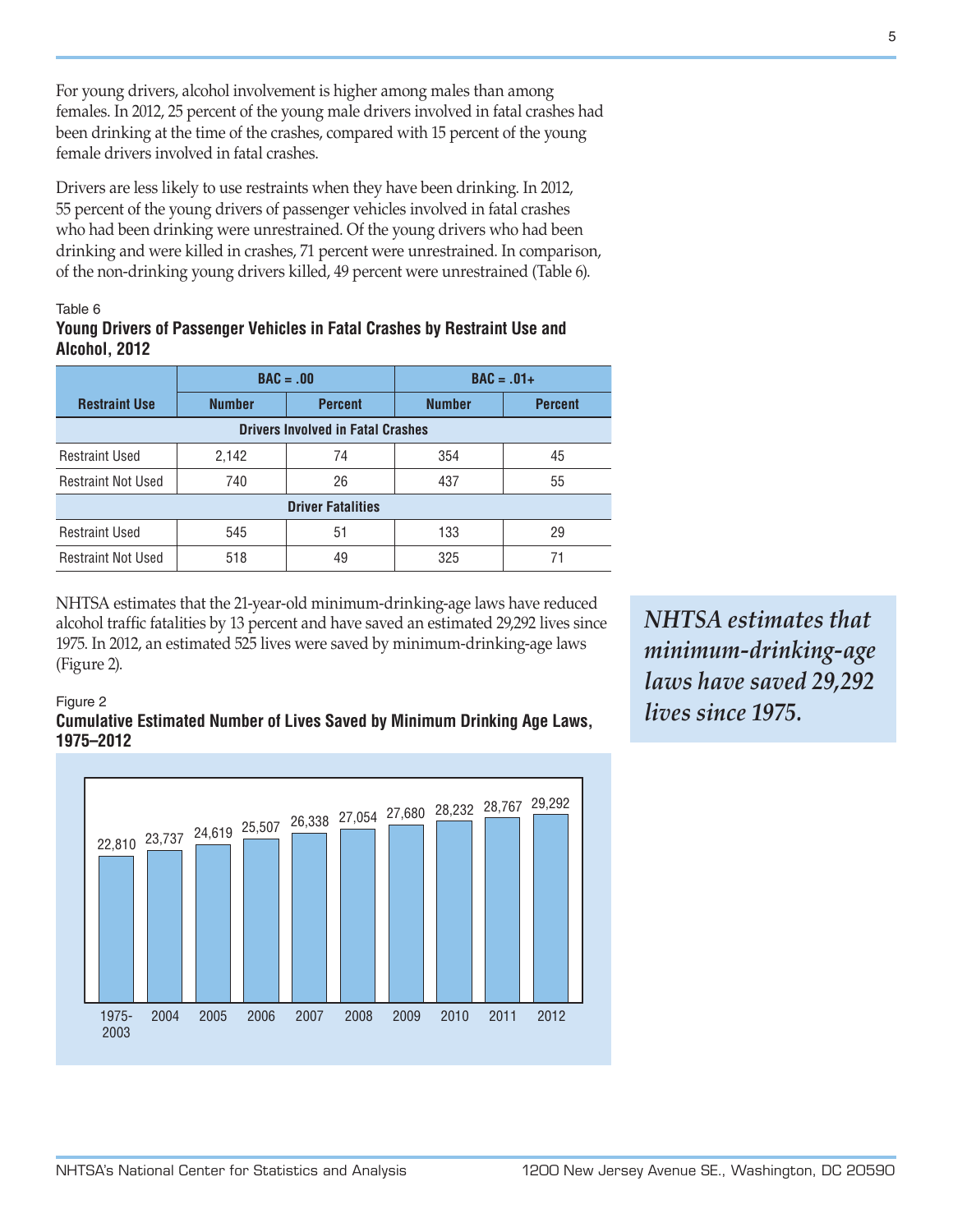For young drivers, alcohol involvement is higher among males than among females. In 2012, 25 percent of the young male drivers involved in fatal crashes had been drinking at the time of the crashes, compared with 15 percent of the young female drivers involved in fatal crashes.

Drivers are less likely to use restraints when they have been drinking. In 2012, 55 percent of the young drivers of passenger vehicles involved in fatal crashes who had been drinking were unrestrained. Of the young drivers who had been drinking and were killed in crashes, 71 percent were unrestrained. In comparison, of the non-drinking young drivers killed, 49 percent were unrestrained (Table 6).

## Table 6

Figure 2

## **Young Drivers of Passenger Vehicles in Fatal Crashes by Restraint Use and Alcohol, 2012**

|                                          | $BAC = .00$                     |    |               | $BAC = .01+$   |  |  |  |
|------------------------------------------|---------------------------------|----|---------------|----------------|--|--|--|
| <b>Restraint Use</b>                     | <b>Number</b><br><b>Percent</b> |    | <b>Number</b> | <b>Percent</b> |  |  |  |
| <b>Drivers Involved in Fatal Crashes</b> |                                 |    |               |                |  |  |  |
| <b>Restraint Used</b>                    | 2,142                           | 74 | 354           | 45             |  |  |  |
| <b>Restraint Not Used</b>                | 740                             | 26 | 437           | 55             |  |  |  |
| <b>Driver Fatalities</b>                 |                                 |    |               |                |  |  |  |
| <b>Restraint Used</b>                    | 545                             | 51 | 133           | 29             |  |  |  |
| <b>Restraint Not Used</b>                | 518                             | 49 | 325           | 71             |  |  |  |

NHTSA estimates that the 21-year-old minimum-drinking-age laws have reduced alcohol traffic fatalities by 13 percent and have saved an estimated 29,292 lives since 1975. In 2012, an estimated 525 lives were saved by minimum-drinking-age laws (Figure 2).



*NHTSA estimates that minimum-drinking-age laws have saved 29,292 lives since 1975.*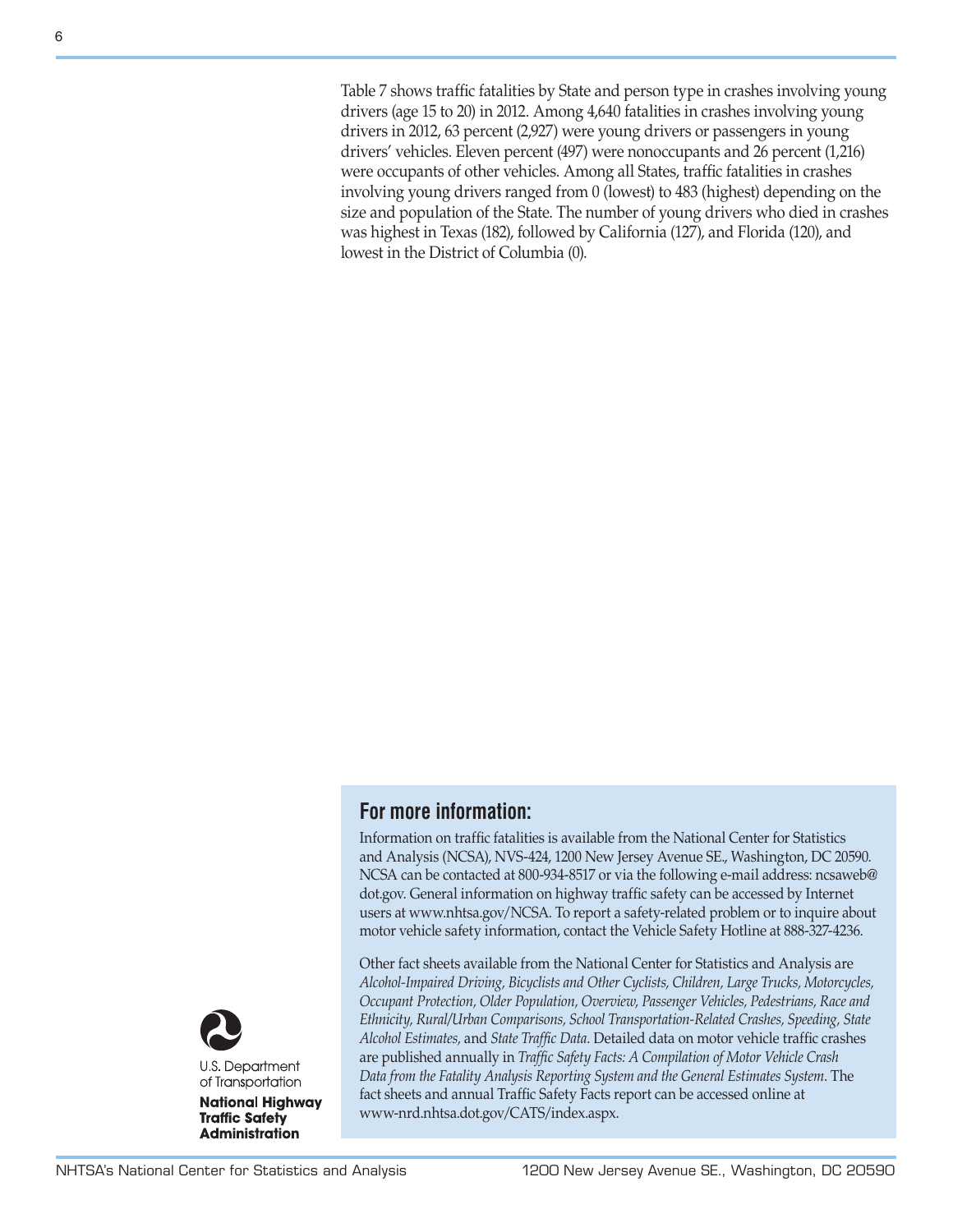Table 7 shows traffic fatalities by State and person type in crashes involving young drivers (age 15 to 20) in 2012. Among 4,640 fatalities in crashes involving young drivers in 2012, 63 percent (2,927) were young drivers or passengers in young drivers' vehicles. Eleven percent (497) were nonoccupants and 26 percent (1,216) were occupants of other vehicles. Among all States, traffic fatalities in crashes involving young drivers ranged from 0 (lowest) to 483 (highest) depending on the size and population of the State. The number of young drivers who died in crashes was highest in Texas (182), followed by California (127), and Florida (120), and lowest in the District of Columbia (0).

## **For more information:**

Information on traffic fatalities is available from the National Center for Statistics and Analysis (NCSA), NVS-424, 1200 New Jersey Avenue SE., Washington, DC 20590. NCSA can be contacted at 800-934-8517 or via the following e-mail address: [ncsaweb@](mailto:ncsaweb%40dot.gov?subject=) [dot.gov](mailto:ncsaweb%40dot.gov?subject=). General information on highway traffic safety can be accessed by Internet users at [www.nhtsa.gov/NCSA.](www.nhtsa.gov/NCSA) To report a safety-related problem or to inquire about motor vehicle safety information, contact the Vehicle Safety Hotline at 888-327-4236.

Other fact sheets available from the National Center for Statistics and Analysis are *Alcohol-Impaired Driving, Bicyclists and Other Cyclists, Children, Large Trucks, Motorcycles, Occupant Protection, Older Population, Overview, Passenger Vehicles, Pedestrians, Race and Ethnicity, Rural/Urban Comparisons, School Transportation-Related Crashes, Speeding, State Alcohol Estimates,* and *State Traffic Data*. Detailed data on motor vehicle traffic crashes are published annually in *Traffic Safety Facts: A Compilation of Motor Vehicle Crash Data from the Fatality Analysis Reporting System and the General Estimates System*. The fact sheets and annual Traffic Safety Facts report can be accessed online at [www-nrd.nhtsa.dot.gov/CATS/index.aspx.](http://www-nrd.nhtsa.dot.gov/CATS/index.aspx)



**National Highway Traffic Safety Administration**